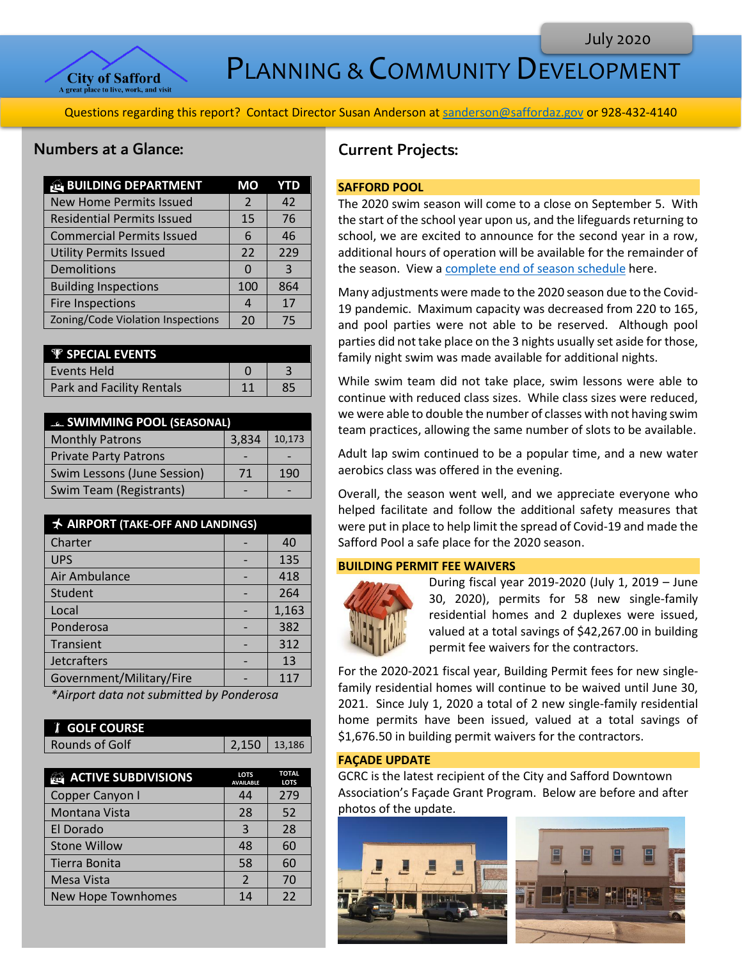

PLANNING & COMMUNITY DEVELOPMENT

Questions regarding this report? Contact Director Susan Anderson a[t sanderson@saffordaz.gov](mailto:sanderson@saffordaz.gov) or 928-432-4140

# Numbers at a Glance:

| <b>BUILDING DEPARTMENT</b>        | МO  | YTD |
|-----------------------------------|-----|-----|
| <b>New Home Permits Issued</b>    | 2   | 42  |
| <b>Residential Permits Issued</b> | 15  | 76  |
| <b>Commercial Permits Issued</b>  | 6   | 46  |
| <b>Utility Permits Issued</b>     | 22  | 229 |
| Demolitions                       | n   | 3   |
| <b>Building Inspections</b>       | 100 | 864 |
| Fire Inspections                  |     | 17  |
| Zoning/Code Violation Inspections | 20  | 75  |

| <b>P</b> SPECIAL EVENTS   |  |
|---------------------------|--|
| l Events Held             |  |
| Park and Facility Rentals |  |

| <b>EL SWIMMING POOL (SEASONAL)</b> |       |        |
|------------------------------------|-------|--------|
| <b>Monthly Patrons</b>             | 3,834 | 10,173 |
| <b>Private Party Patrons</b>       |       |        |
| Swim Lessons (June Session)        | 71    | 190    |
| Swim Team (Registrants)            |       |        |

| <b>★ AIRPORT (TAKE-OFF AND LANDINGS)</b> |  |       |
|------------------------------------------|--|-------|
| Charter                                  |  | 40    |
| <b>UPS</b>                               |  | 135   |
| Air Ambulance                            |  | 418   |
| Student                                  |  | 264   |
| Local                                    |  | 1,163 |
| Ponderosa                                |  | 382   |
| Transient                                |  | 312   |
| Jetcrafters                              |  | 13    |
| Government/Military/Fire                 |  | 117   |

*\*Airport data not submitted by Ponderosa*

| <b><i>I</i></b> GOLF COURSE |                |
|-----------------------------|----------------|
| Rounds of Golf              | $2,150$ 13,186 |

| <b>ACTIVE SUBDIVISIONS</b> | <b>LOTS</b><br><b>AVAILABLE</b> | <b>TOTAL</b><br><b>LOTS</b> |
|----------------------------|---------------------------------|-----------------------------|
| Copper Canyon I            | 44                              | 279                         |
| Montana Vista              | 28                              | 52                          |
| El Dorado                  | 3                               | 28                          |
| <b>Stone Willow</b>        | 48                              | 60                          |
| Tierra Bonita              | 58                              | 60                          |
| <b>Mesa Vista</b>          | $\mathcal{P}$                   | 70                          |
| New Hope Townhomes         | 14                              | 22                          |

# Current Projects:

## **SAFFORD POOL**

The 2020 swim season will come to a close on September 5. With the start of the school year upon us, and the lifeguards returning to school, we are excited to announce for the second year in a row, additional hours of operation will be available for the remainder of the season. View [a complete end of season schedule](https://www.cityofsafford.us/DocumentCenter/View/3817/2020-Extended-Season-Calendar) here.

Many adjustments were made to the 2020 season due to the Covid-19 pandemic. Maximum capacity was decreased from 220 to 165, and pool parties were not able to be reserved. Although pool parties did not take place on the 3 nights usually set aside for those, family night swim was made available for additional nights.

While swim team did not take place, swim lessons were able to continue with reduced class sizes. While class sizes were reduced, we were able to double the number of classes with not having swim team practices, allowing the same number of slots to be available.

Adult lap swim continued to be a popular time, and a new water aerobics class was offered in the evening.

Overall, the season went well, and we appreciate everyone who helped facilitate and follow the additional safety measures that were put in place to help limit the spread of Covid-19 and made the Safford Pool a safe place for the 2020 season.

#### **BUILDING PERMIT FEE WAIVERS**



During fiscal year 2019-2020 (July 1, 2019 – June 30, 2020), permits for 58 new single-family residential homes and 2 duplexes were issued, valued at a total savings of \$42,267.00 in building permit fee waivers for the contractors.

For the 2020-2021 fiscal year, Building Permit fees for new singlefamily residential homes will continue to be waived until June 30, 2021. Since July 1, 2020 a total of 2 new single-family residential home permits have been issued, valued at a total savings of \$1,676.50 in building permit waivers for the contractors.

### **FAÇADE UPDATE**

GCRC is the latest recipient of the City and Safford Downtown Association's Façade Grant Program. Below are before and after photos of the update.